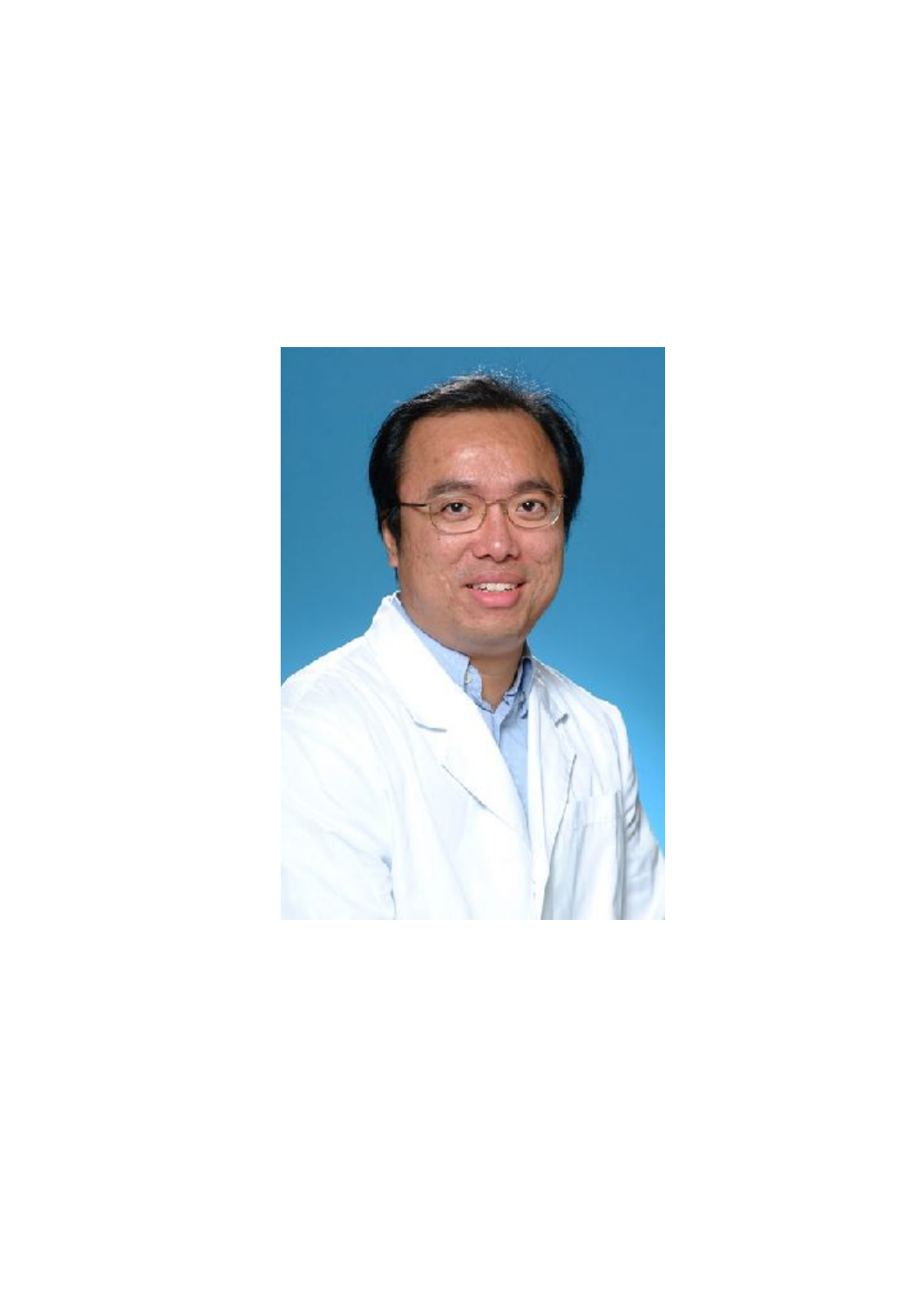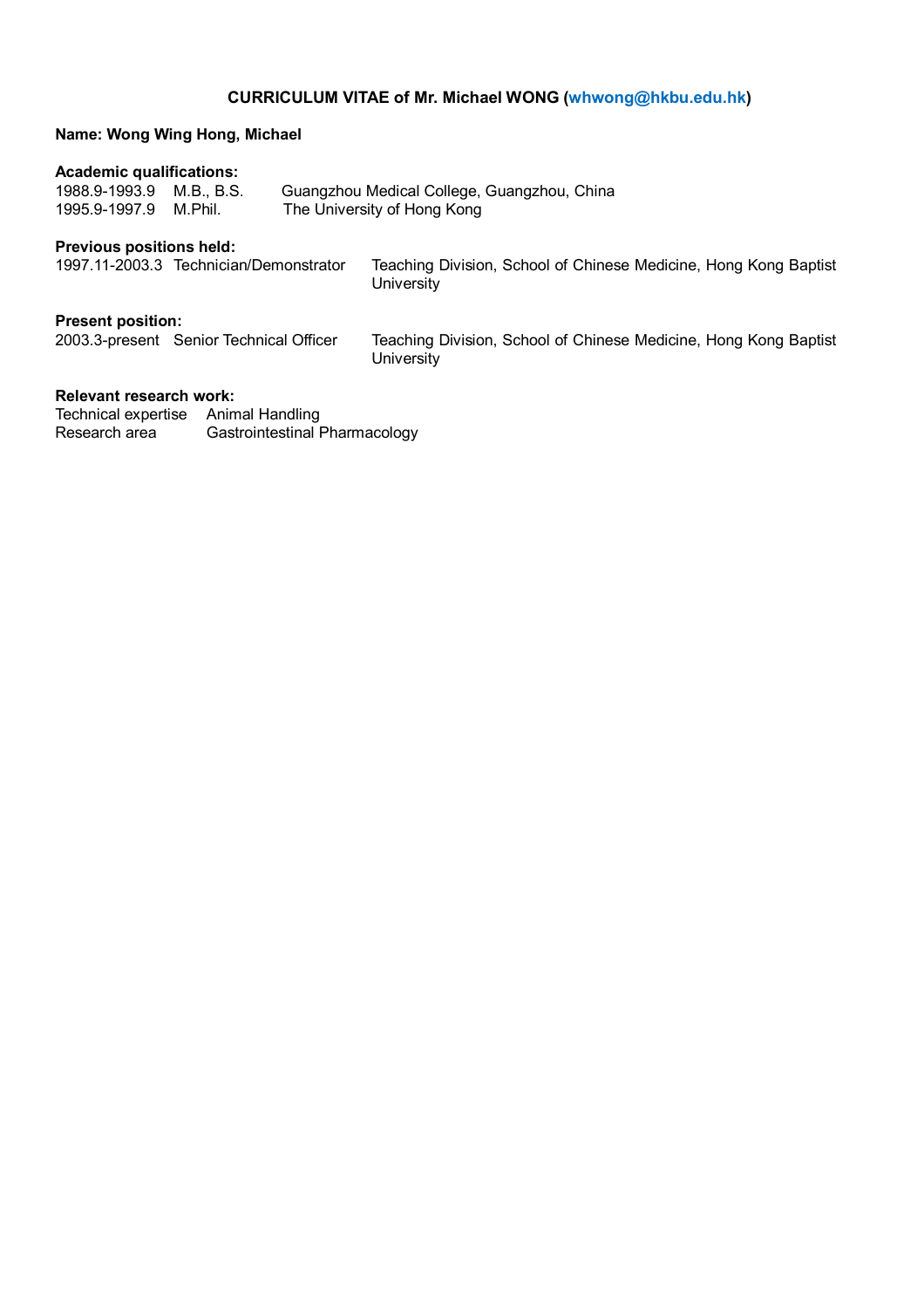# **CURRICULUM VITAE of Mr. Michael WONG (whwong@hkbu.edu.hk)**

## **Name: Wong Wing Hong, Michael**

## **Academic qualifications:**

| 1988.9-1993.9 M.B., B.S. | Guangzhou Medical College, Guangzhou, China |
|--------------------------|---------------------------------------------|
| 1995.9-1997.9 M.Phil.    | The University of Hong Kong                 |

## **Previous positions held:**

| 1997.11-2003.3 Technician/Demonstrator | Teaching Division, School of Chinese Medicine, Hong Kong Baptist |  |  |
|----------------------------------------|------------------------------------------------------------------|--|--|
|                                        | University                                                       |  |  |

## **Present position:**

2003.3-present Senior Technical Officer Teaching Division, School of Chinese Medicine, Hong Kong Baptist **University** 

## **Relevant research work:**

Technical expertise Animal Handling Research area Gastrointestinal Pharmacology